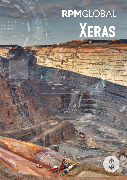# RPMGLOBAL XERAS

 $\dot{3}$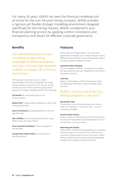For nearly 30 years, XERAS has been the financial modelling tool of choice for the cost-focused mining company. XERAS provides a rigorous yet flexible strategic modelling environment designed specifically for the mining industry. XERAS complements your financial planning process by applying control, consistency and transparency and allows for effective corporate governance.

# **Benefits**

*Our collaborative promise to you is to blend our deep mining knowledge and financial expertise with your vision and high standards to deliver a strategic, life-of-mining tool of choice.*

With decades of experience and an in-depth understanding of the financial challenges the mining industry presents, we know the tests you face and the answers you need. XERAS represents a best practice approach to strategic modelling and life of mine planning.

**Get Results** fast using XERAS' easy to use, intuitive interface.

Reduce Risk through powerful auditing tools and strong corporate governance.

**Ensure Consistency** by separating business rules and logic from data.

Gain Visibility into the underlying assumptions using XERAS' unique drill-down feature.

Drive Corporate Standards in fiscal management and reporting.

Increase Net-Present Value with the analysis of alternate scenarios.

## Features

XERAS caters for multiple options. Users can make adjustments to variables such as mine production options, different mining methods, and specific equipment options ensuring complete confidence in results.

### Equipment fleet modelling

The core capability of XERAS – allowing users to predict the requirement for new units, replacement units and the associated cash flows.

### Cash flow

Build up a full strategic cash flow that includes capital and operational expenditure, revenue, working capital and taxes.

# *"XERAS is used by 4 out of the Top 5 Mining Companies in the world."*

### Net present value

The key metric that all mining companies use to put a value on an operation – net present value – is a core competency of XERAS.

### Activity-based costing

Build up a dynamic financial picture of the mine based on the actual mining activities to get detailed figures such as a break down to pit-by-pit values.

### Reporting and analysis

Utilise XERAS' intuitive reporting capabilities to summarise data and present it in a concise format. Showcase cost summaries, financial report and cash flow reports. XERAS delivers complete and informative outputs giving greater visibility into your figures, trends and forecasts.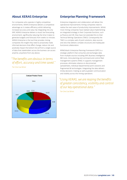# About XERAS Enterprise

For companies who operate in highly competitive environments, XERAS Enterprise delivers a competitive advantage as it creates efficiency whilst delivering increased accuracy and value. By integrating into any ERP, XERAS Enterprise delivers a visual, live forecasting environment, significantly reducing the time it takes to generate budgets and forecasts from weeks to minutes. XERAS Enterprise is the tool that provides mining companies the insight they need to proactively make informed decisions that effect change, reduce risk and positively impact the bottom line all from a single source of data that stakeholders across the business can access anytime, anywhere from any device.

# *"The benefits are obvious in terms of effort, accuracy and time saved."*

*Tier One Coal Miner*



# Enterprise Planning Framework

Enterprise integration and collaboration will deliver the operational improvements mining companies need to realise the next wave of productivity improvements. Whilst most mining companies have realised value implementing an integrated strategy in their Corporate functions, such as finance and HR, they have not extended this to their Technical Mining Operations (TMO). Consequently the TMO is a complex web of point solutions, data sources and silos that delivers complex structures and inadequate functional collaboration.

RPMGlobal's Enterprise Planning Framework (EPF) is a strategic platform that consumes and exchanges data from multiple sources including ERP, Business Intelligence (BI) tools, mine planning and command and control fleet management systems (FMS). It supports management processes, eliminates reliance on disconnected spreadsheets, individual departmental point solutions and fragmented BI technologies. Integrating the data delivers timely decisions-making as well as greater communication and visibility across the mining operations

# *"Using XERAS, we are reaping the benefits of greater consistency, visibility and control of our key operational data."*

*Tier One Coal Miner*